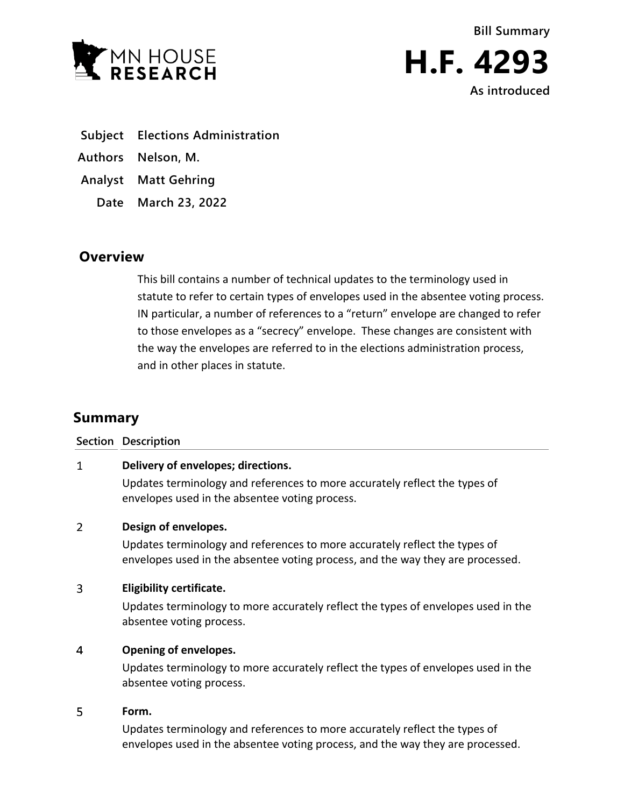

**Bill Summary H.F. 4293 As introduced**

- **Subject Elections Administration**
- **Authors Nelson, M.**
- **Analyst Matt Gehring**
	- **Date March 23, 2022**

# **Overview**

This bill contains a number of technical updates to the terminology used in statute to refer to certain types of envelopes used in the absentee voting process. IN particular, a number of references to a "return" envelope are changed to refer to those envelopes as a "secrecy" envelope. These changes are consistent with the way the envelopes are referred to in the elections administration process, and in other places in statute.

# **Summary**

| <b>Section Description</b>         |  |
|------------------------------------|--|
| Delivery of envelopes; directions. |  |

Updates terminology and references to more accurately reflect the types of envelopes used in the absentee voting process.

## $\overline{2}$ **Design of envelopes.**

Updates terminology and references to more accurately reflect the types of envelopes used in the absentee voting process, and the way they are processed.

## $\overline{3}$ **Eligibility certificate.**

Updates terminology to more accurately reflect the types of envelopes used in the absentee voting process.

## $\overline{4}$ **Opening of envelopes.**

Updates terminology to more accurately reflect the types of envelopes used in the absentee voting process.

## 5 **Form.**

Updates terminology and references to more accurately reflect the types of envelopes used in the absentee voting process, and the way they are processed.